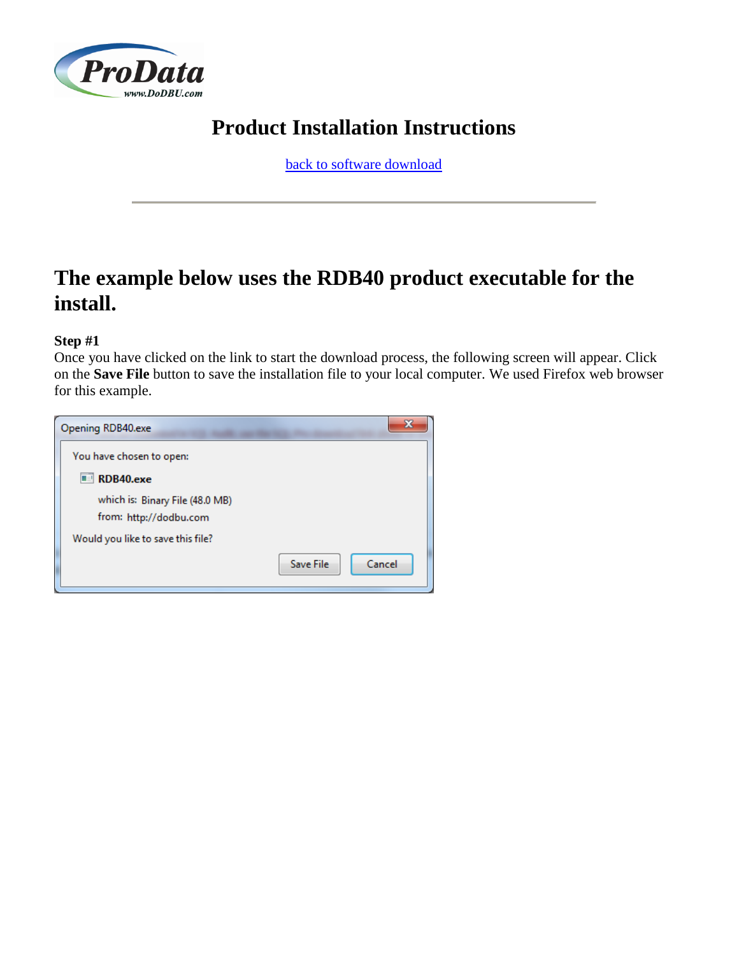

# **Product Installation Instructions**

[back to software download](http://www.dodbu.com/downloadThanks.shtml)

# **The example below uses the RDB40 product executable for the install.**

## **Step #1**

Once you have clicked on the link to start the download process, the following screen will appear. Click on the **Save File** button to save the installation file to your local computer. We used Firefox web browser for this example.

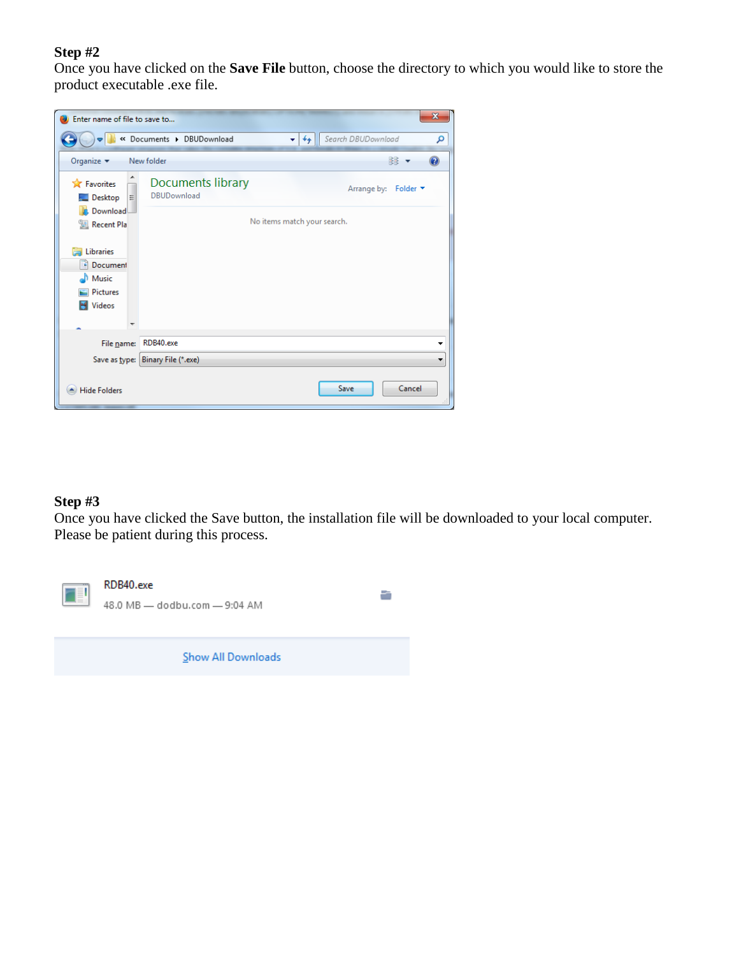Once you have clicked on the **Save File** button, choose the directory to which you would like to store the product executable .exe file.

| Enter name of file to save to                               |                                                | $\mathbf{x}$                         |
|-------------------------------------------------------------|------------------------------------------------|--------------------------------------|
|                                                             | « Documents > DBUDownload                      | Search DBUDownload<br>$+$<br>α<br>۰I |
| Organize $\blacktriangledown$                               | New folder                                     | 雕                                    |
| <b>X</b> Favorites<br>Desktop<br>Ξ                          | <b>Documents library</b><br><b>DBUDownload</b> | Arrange by: Folder ▼                 |
| <b>L</b> Download<br>圖 Recent Pla                           |                                                | No items match your search.          |
| Libraries<br>Document<br>Music<br><b>Pictures</b><br>Videos |                                                |                                      |
| File name:                                                  | RDB40.exe                                      | ▼                                    |
| Save as type:                                               | Binary File (*.exe)                            | ▼                                    |
| <b>Hide Folders</b>                                         |                                                | Cancel<br>Save                       |

# **Step #3**

Once you have clicked the Save button, the installation file will be downloaded to your local computer. Please be patient during this process.

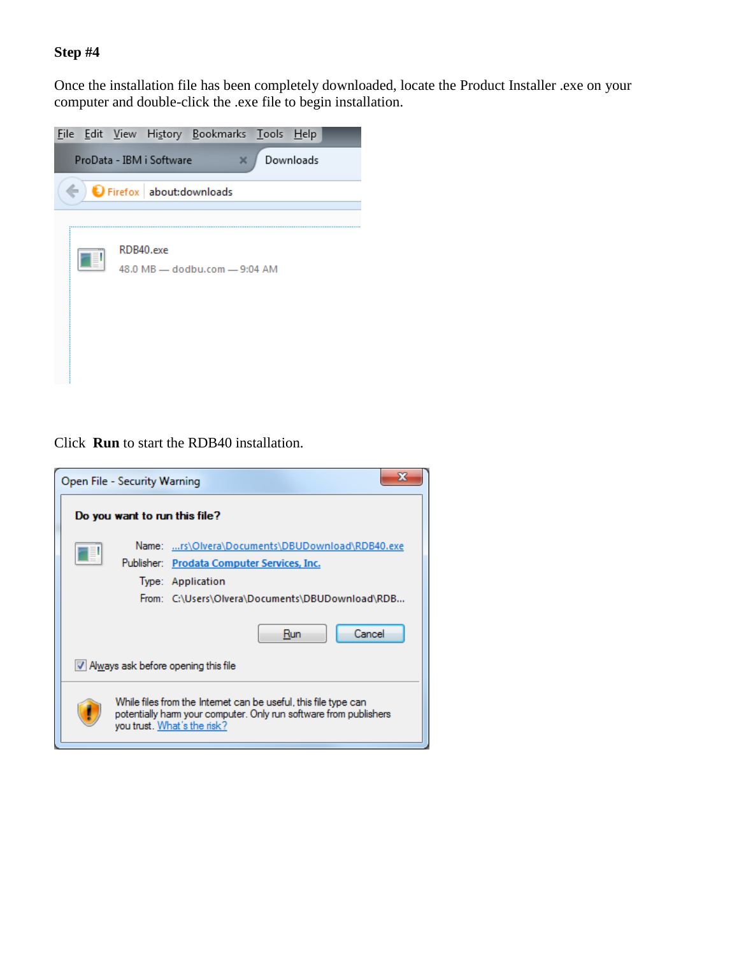Once the installation file has been completely downloaded, locate the Product Installer .exe on your computer and double-click the .exe file to begin installation.

|  |                          | File Edit View History Bookmarks Tools Help |           |  |
|--|--------------------------|---------------------------------------------|-----------|--|
|  | ProData - IBM i Software | ×                                           | Downloads |  |
|  |                          | Firefox about: downloads                    |           |  |
|  |                          |                                             |           |  |
|  | RDB40.exe                | 48.0 MB - dodbu.com - 9:04 AM               |           |  |

Click **Run** to start the RDB40 installation.

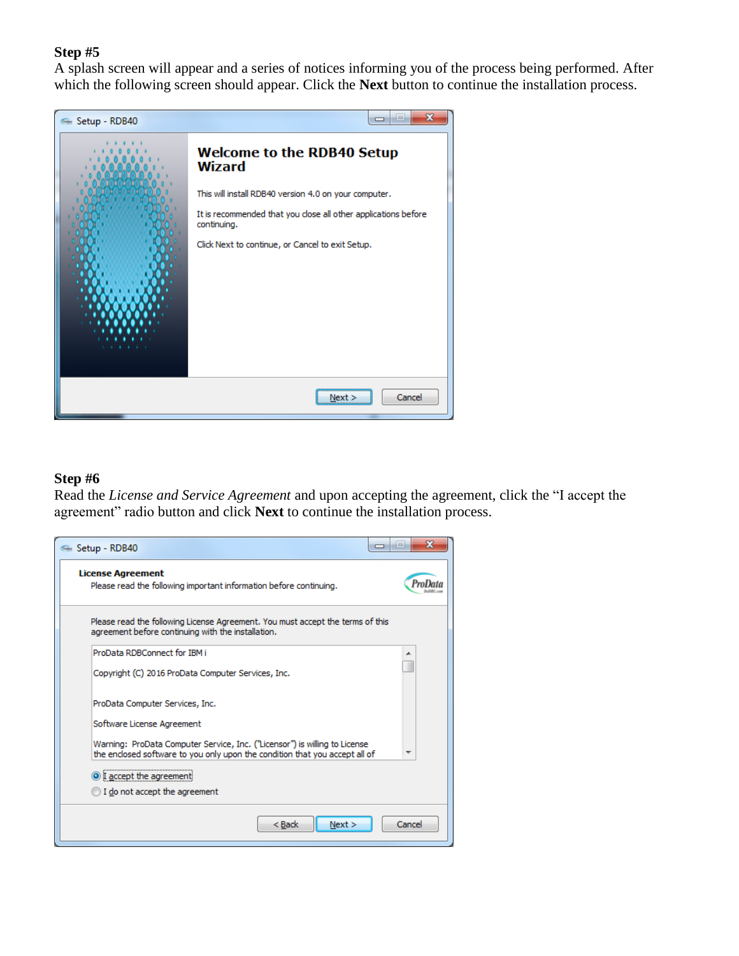A splash screen will appear and a series of notices informing you of the process being performed. After which the following screen should appear. Click the **Next** button to continue the installation process.



#### **Step #6**

Read the *License and Service Agreement* and upon accepting the agreement, click the "I accept the agreement" radio button and click **Next** to continue the installation process.

| Setup - RDB40                                                                                                                                             | x<br>-9 |
|-----------------------------------------------------------------------------------------------------------------------------------------------------------|---------|
| <b>License Agreement</b><br>Please read the following important information before continuing.                                                            |         |
| Please read the following License Agreement. You must accept the terms of this<br>agreement before continuing with the installation.                      |         |
| ProData RDBConnect for IBM i                                                                                                                              | ▴       |
| Copyright (C) 2016 ProData Computer Services, Inc.                                                                                                        |         |
| ProData Computer Services, Inc.                                                                                                                           |         |
| Software License Agreement                                                                                                                                |         |
| Warning: ProData Computer Service, Inc. ("Licensor") is willing to License<br>the enclosed software to you only upon the condition that you accept all of |         |
| <sup>O</sup> I accept the agreement                                                                                                                       |         |
| I do not accept the agreement                                                                                                                             |         |
| $Back$<br>Next                                                                                                                                            | Cancel  |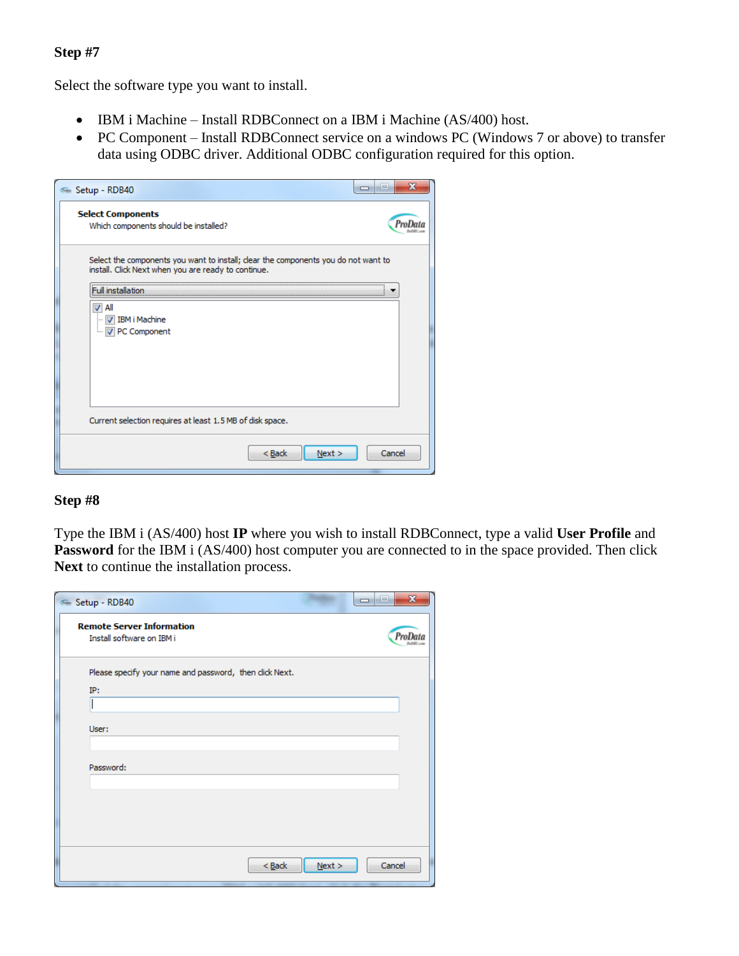Select the software type you want to install.

- IBM i Machine Install RDBConnect on a IBM i Machine (AS/400) host.
- PC Component Install RDBConnect service on a windows PC (Windows 7 or above) to transfer data using ODBC driver. Additional ODBC configuration required for this option.

| ← Setup - RDB40                                                                                                                           | i.     |
|-------------------------------------------------------------------------------------------------------------------------------------------|--------|
| <b>Select Components</b><br>Which components should be installed?                                                                         |        |
| Select the components you want to install; clear the components you do not want to<br>install. Click Next when you are ready to continue. |        |
| <b>Full installation</b><br>All                                                                                                           |        |
| <b>IBM i Machine</b><br>PC Component<br>i                                                                                                 |        |
|                                                                                                                                           |        |
|                                                                                                                                           |        |
|                                                                                                                                           |        |
| Current selection requires at least 1.5 MB of disk space.                                                                                 |        |
| $Back$<br>Next >                                                                                                                          | Cancel |

#### **Step #8**

Type the IBM i (AS/400) host **IP** where you wish to install RDBConnect, type a valid **User Profile** and **Password** for the IBM i (AS/400) host computer you are connected to in the space provided. Then click **Next** to continue the installation process.

| Setup - RDB40                                                  |        | $\mathbf{x}$<br>$\Box$ $\Box$ |
|----------------------------------------------------------------|--------|-------------------------------|
| <b>Remote Server Information</b><br>Install software on IBM i  |        |                               |
| Please specify your name and password, then click Next.<br>IP: |        |                               |
| User:                                                          |        |                               |
| Password:                                                      |        |                               |
|                                                                |        |                               |
|                                                                |        |                               |
| $Back$                                                         | Next > | Cancel                        |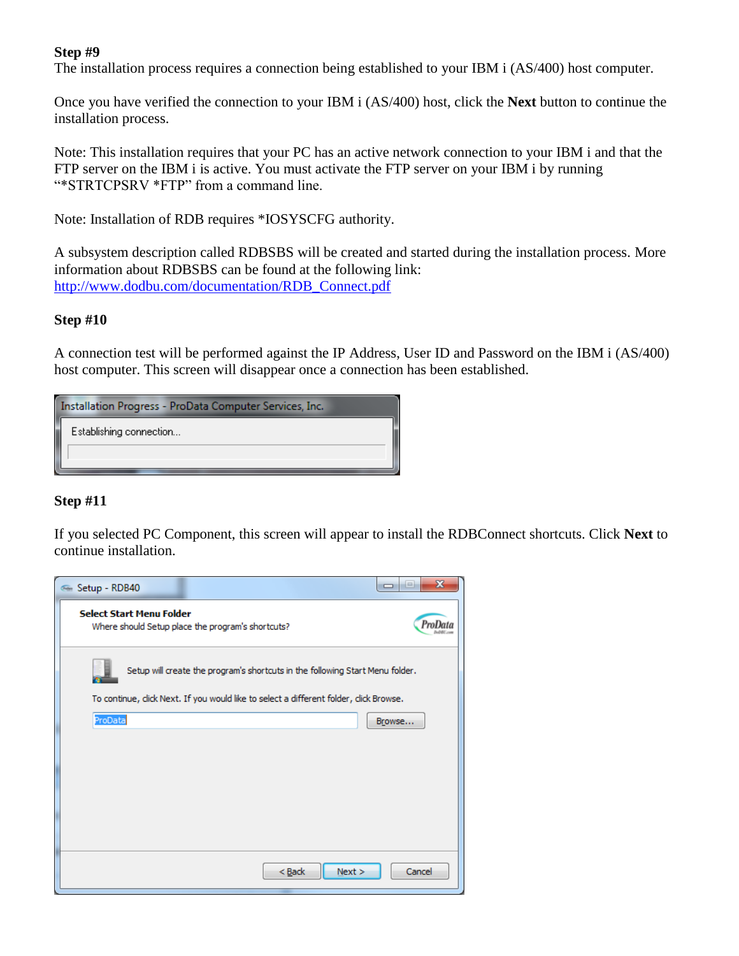The installation process requires a connection being established to your IBM i (AS/400) host computer.

Once you have verified the connection to your IBM i (AS/400) host, click the **Next** button to continue the installation process.

Note: This installation requires that your PC has an active network connection to your IBM i and that the FTP server on the IBM i is active. You must activate the FTP server on your IBM i by running "\*STRTCPSRV \*FTP" from a command line.

Note: Installation of RDB requires \*IOSYSCFG authority.

A subsystem description called RDBSBS will be created and started during the installation process. More information about RDBSBS can be found at the following link: [http://www.dodbu.com/documentation/RDB\\_Connect.pdf](http://www.dodbu.com/documentation/RDB_Connect.pdf)

### **Step #10**

A connection test will be performed against the IP Address, User ID and Password on the IBM i (AS/400) host computer. This screen will disappear once a connection has been established.

| Installation Progress - ProData Computer Services, Inc. |  |  |  |
|---------------------------------------------------------|--|--|--|
| Establishing connection                                 |  |  |  |
|                                                         |  |  |  |

## **Step #11**

If you selected PC Component, this screen will appear to install the RDBConnect shortcuts. Click **Next** to continue installation.

| Setup - RDB40                   |                                                                                      | $\mathbf{x}$<br>He i<br>$\Box$ |
|---------------------------------|--------------------------------------------------------------------------------------|--------------------------------|
| <b>Select Start Menu Folder</b> | Where should Setup place the program's shortcuts?                                    |                                |
|                                 | Setup will create the program's shortcuts in the following Start Menu folder.        |                                |
|                                 | To continue, dick Next. If you would like to select a different folder, dick Browse. |                                |
| ProData                         |                                                                                      | Browse                         |
|                                 |                                                                                      |                                |
|                                 |                                                                                      |                                |
|                                 |                                                                                      |                                |
|                                 |                                                                                      |                                |
|                                 |                                                                                      |                                |
|                                 |                                                                                      |                                |
|                                 | $Back$                                                                               | Next ><br>Cancel               |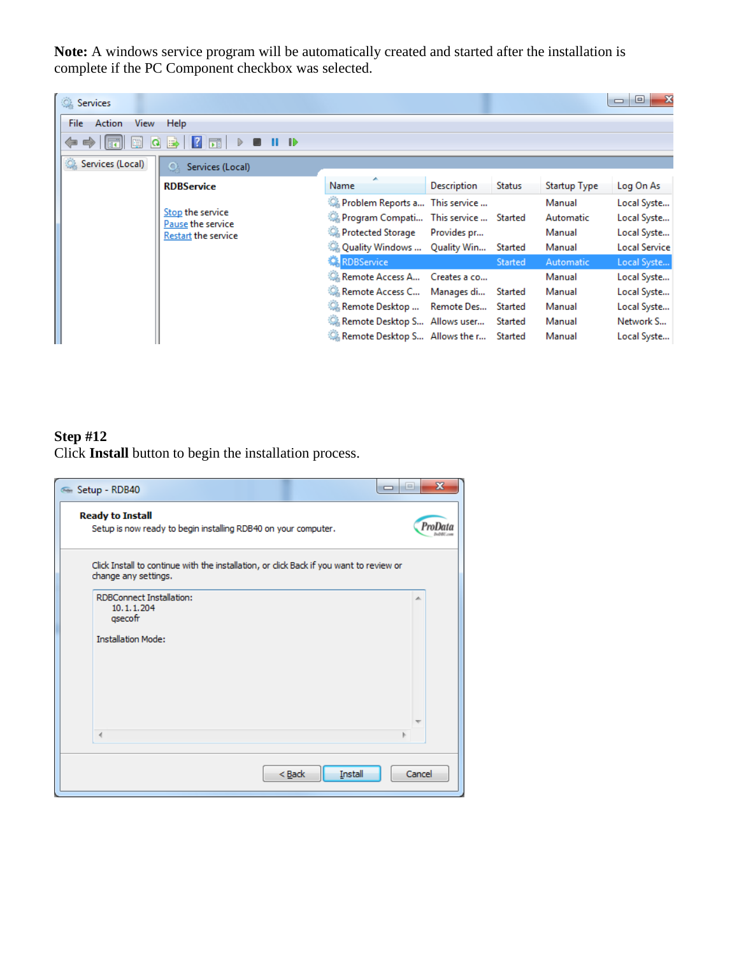**Note:** A windows service program will be automatically created and started after the installation is complete if the PC Component checkbox was selected.

| <b>Services</b>             |                                                              |                                                                                                                                                                             |                    |                    |                                                | $\Box$<br>$\Box$                                                      |
|-----------------------------|--------------------------------------------------------------|-----------------------------------------------------------------------------------------------------------------------------------------------------------------------------|--------------------|--------------------|------------------------------------------------|-----------------------------------------------------------------------|
| Action<br>View<br>File<br>Œ | Help<br>爾<br>$\blacksquare$<br>$\triangleright$              |                                                                                                                                                                             |                    |                    |                                                |                                                                       |
| Services (Local)            | $\Omega$ .<br>Services (Local)                               |                                                                                                                                                                             |                    |                    |                                                |                                                                       |
|                             | <b>RDBService</b>                                            | Name                                                                                                                                                                        | <b>Description</b> | <b>Status</b>      | Startup Type                                   | Log On As                                                             |
|                             | Stop the service<br>Pause the service<br>Restart the service | Problem Reports a This service<br>Program Compati This service  Started<br><b>Co.</b> Protected Storage                                                                     | Provides pr        |                    | Manual<br>Automatic<br>Manual<br>Manual        | Local Syste<br>Local Syste<br>Local Syste<br><b>Local Service</b>     |
|                             |                                                              | . Quality Windows  Quality Win<br><b>RDBService</b>                                                                                                                         |                    | Started<br>Started | Automatic                                      | Local Syste                                                           |
|                             |                                                              | Remote Access A Creates a co<br>Remote Access C Manages di Started<br>Remote Desktop  Remote Des Started<br>Remote Desktop S Allows user<br>Remote Desktop S… Allows the r… |                    | Started<br>Started | Manual<br>Manual<br>Manual<br>Manual<br>Manual | Local Syste<br>Local Syste<br>Local Syste<br>Network S<br>Local Syste |

# **Step #12**

Click **Install** button to begin the installation process.

| - 8<br>Setup - RDB40                                                                                            | $\mathbf{x}$ |
|-----------------------------------------------------------------------------------------------------------------|--------------|
| <b>Ready to Install</b><br>Setup is now ready to begin installing RDB40 on your computer.                       |              |
| Click Install to continue with the installation, or click Back if you want to review or<br>change any settings. |              |
| <b>RDBConnect Installation:</b><br>10.1.1.204<br>qsecofr                                                        | ∸            |
| <b>Installation Mode:</b>                                                                                       |              |
|                                                                                                                 |              |
| ∢                                                                                                               |              |
| Install<br>$Back$                                                                                               | Cancel       |
|                                                                                                                 |              |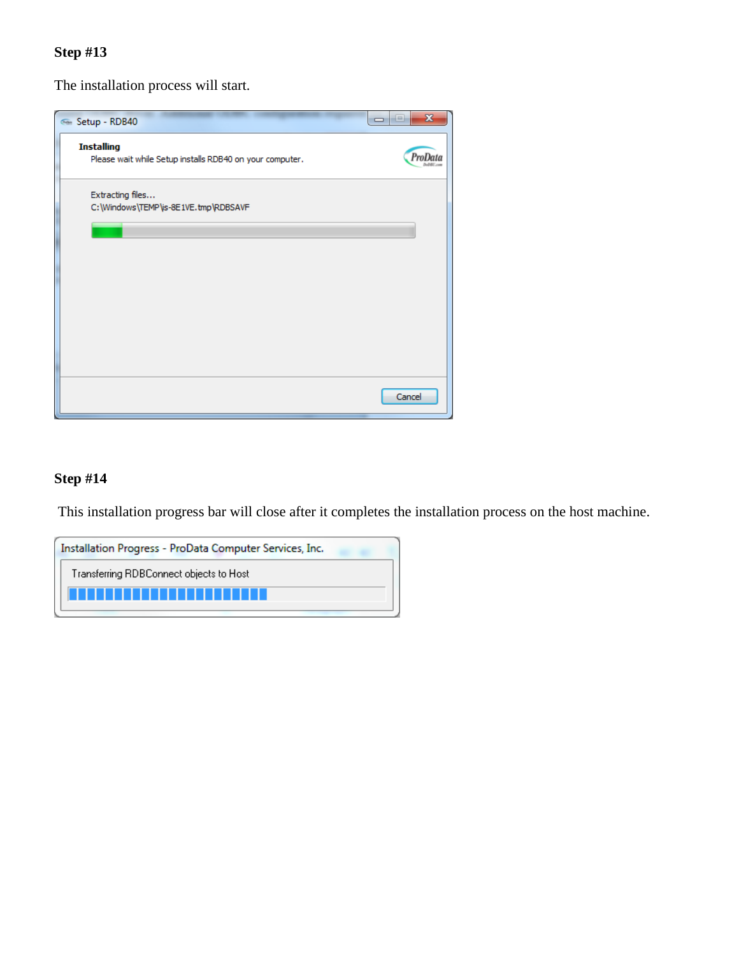The installation process will start.



### **Step #14**

This installation progress bar will close after it completes the installation process on the host machine.